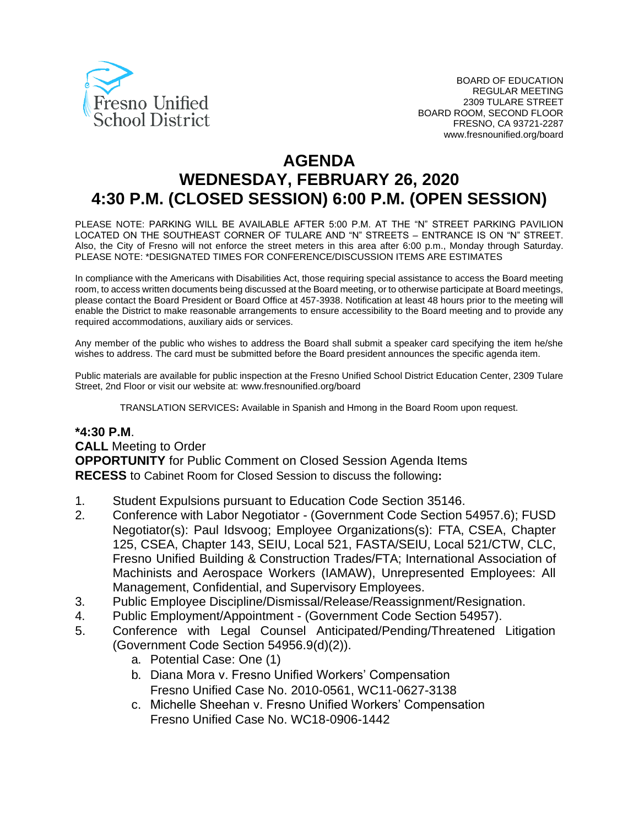

# **AGENDA WEDNESDAY, FEBRUARY 26, 2020 4:30 P.M. (CLOSED SESSION) 6:00 P.M. (OPEN SESSION)**

PLEASE NOTE: PARKING WILL BE AVAILABLE AFTER 5:00 P.M. AT THE "N" STREET PARKING PAVILION LOCATED ON THE SOUTHEAST CORNER OF TULARE AND "N" STREETS – ENTRANCE IS ON "N" STREET. Also, the City of Fresno will not enforce the street meters in this area after 6:00 p.m., Monday through Saturday. PLEASE NOTE: \*DESIGNATED TIMES FOR CONFERENCE/DISCUSSION ITEMS ARE ESTIMATES

In compliance with the Americans with Disabilities Act, those requiring special assistance to access the Board meeting room, to access written documents being discussed at the Board meeting, or to otherwise participate at Board meetings, please contact the Board President or Board Office at 457-3938. Notification at least 48 hours prior to the meeting will enable the District to make reasonable arrangements to ensure accessibility to the Board meeting and to provide any required accommodations, auxiliary aids or services.

Any member of the public who wishes to address the Board shall submit a speaker card specifying the item he/she wishes to address. The card must be submitted before the Board president announces the specific agenda item.

Public materials are available for public inspection at the Fresno Unified School District Education Center, 2309 Tulare Street, 2nd Floor or visit our website at: www.fresnounified.org/board

TRANSLATION SERVICES**:** Available in Spanish and Hmong in the Board Room upon request.

#### **\*4:30 P.M**.

**CALL** Meeting to Order

**OPPORTUNITY** for Public Comment on Closed Session Agenda Items **RECESS** to Cabinet Room for Closed Session to discuss the following**:**

- 1. Student Expulsions pursuant to Education Code Section 35146.
- 2. Conference with Labor Negotiator (Government Code Section 54957.6); FUSD Negotiator(s): Paul Idsvoog; Employee Organizations(s): FTA, CSEA, Chapter 125, CSEA, Chapter 143, SEIU, Local 521, FASTA/SEIU, Local 521/CTW, CLC, Fresno Unified Building & Construction Trades/FTA; International Association of Machinists and Aerospace Workers (IAMAW), Unrepresented Employees: All Management, Confidential, and Supervisory Employees.
- 3. Public Employee Discipline/Dismissal/Release/Reassignment/Resignation.
- 4. Public Employment/Appointment (Government Code Section 54957).
- 5. Conference with Legal Counsel Anticipated/Pending/Threatened Litigation (Government Code Section 54956.9(d)(2)).
	- a. Potential Case: One (1)
	- b. Diana Mora v. Fresno Unified Workers' Compensation Fresno Unified Case No. 2010-0561, WC11-0627-3138
	- c. Michelle Sheehan v. Fresno Unified Workers' Compensation Fresno Unified Case No. WC18-0906-1442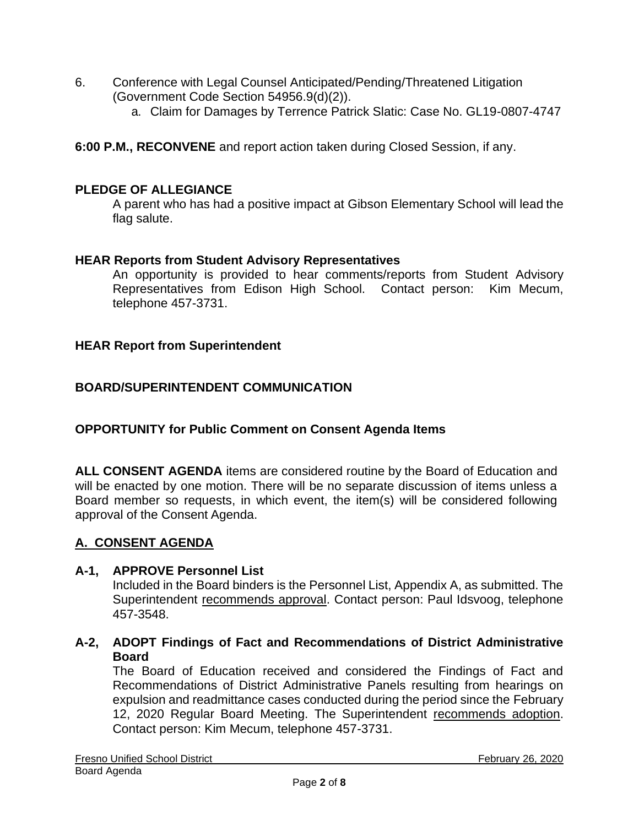- 6. Conference with Legal Counsel Anticipated/Pending/Threatened Litigation (Government Code Section 54956.9(d)(2)).
	- a. Claim for Damages by Terrence Patrick Slatic: Case No. GL19-0807-4747

**6:00 P.M., RECONVENE** and report action taken during Closed Session, if any.

### **PLEDGE OF ALLEGIANCE**

A parent who has had a positive impact at Gibson Elementary School will lead the flag salute.

### **HEAR Reports from Student Advisory Representatives**

An opportunity is provided to hear comments/reports from Student Advisory Representatives from Edison High School. Contact person: Kim Mecum, telephone 457-3731.

### **HEAR Report from Superintendent**

### **BOARD/SUPERINTENDENT COMMUNICATION**

### **OPPORTUNITY for Public Comment on Consent Agenda Items**

**ALL CONSENT AGENDA** items are considered routine by the Board of Education and will be enacted by one motion. There will be no separate discussion of items unless a Board member so requests, in which event, the item(s) will be considered following approval of the Consent Agenda.

### **A. CONSENT AGENDA**

#### **A-1, APPROVE Personnel List**

Included in the Board binders is the Personnel List, Appendix A, as submitted. The Superintendent recommends approval. Contact person: Paul Idsvoog, telephone 457-3548.

### **A-2, ADOPT Findings of Fact and Recommendations of District Administrative Board**

The Board of Education received and considered the Findings of Fact and Recommendations of District Administrative Panels resulting from hearings on expulsion and readmittance cases conducted during the period since the February 12, 2020 Regular Board Meeting. The Superintendent recommends adoption. Contact person: Kim Mecum, telephone 457-3731.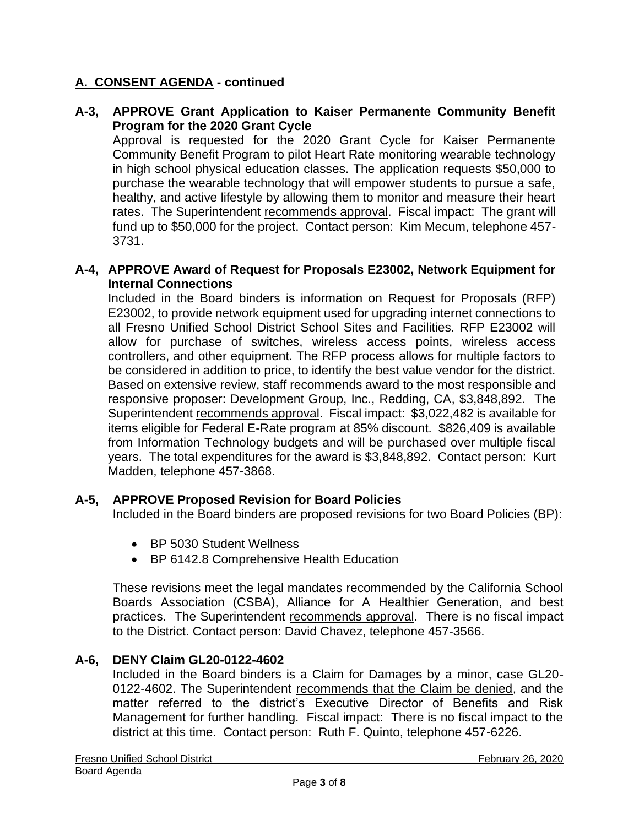## **A. CONSENT AGENDA - continued**

### **A-3, APPROVE Grant Application to Kaiser Permanente Community Benefit Program for the 2020 Grant Cycle**

Approval is requested for the 2020 Grant Cycle for Kaiser Permanente Community Benefit Program to pilot Heart Rate monitoring wearable technology in high school physical education classes. The application requests \$50,000 to purchase the wearable technology that will empower students to pursue a safe, healthy, and active lifestyle by allowing them to monitor and measure their heart rates. The Superintendent recommends approval. Fiscal impact: The grant will fund up to \$50,000 for the project. Contact person: Kim Mecum, telephone 457- 3731.

#### **A-4, APPROVE Award of Request for Proposals E23002, Network Equipment for Internal Connections**

Included in the Board binders is information on Request for Proposals (RFP) E23002, to provide network equipment used for upgrading internet connections to all Fresno Unified School District School Sites and Facilities. RFP E23002 will allow for purchase of switches, wireless access points, wireless access controllers, and other equipment. The RFP process allows for multiple factors to be considered in addition to price, to identify the best value vendor for the district. Based on extensive review, staff recommends award to the most responsible and responsive proposer: Development Group, Inc., Redding, CA, \$3,848,892. The Superintendent recommends approval. Fiscal impact: \$3,022,482 is available for items eligible for Federal E-Rate program at 85% discount. \$826,409 is available from Information Technology budgets and will be purchased over multiple fiscal years. The total expenditures for the award is \$3,848,892. Contact person: Kurt Madden, telephone 457-3868.

#### **A-5, APPROVE Proposed Revision for Board Policies**

Included in the Board binders are proposed revisions for two Board Policies (BP):

- BP 5030 Student Wellness
- BP 6142.8 Comprehensive Health Education

These revisions meet the legal mandates recommended by the California School Boards Association (CSBA), Alliance for A Healthier Generation, and best practices. The Superintendent recommends approval. There is no fiscal impact to the District. Contact person: David Chavez, telephone 457-3566.

### **A-6, DENY Claim GL20-0122-4602**

Included in the Board binders is a Claim for Damages by a minor, case GL20- 0122-4602. The Superintendent recommends that the Claim be denied, and the matter referred to the district's Executive Director of Benefits and Risk Management for further handling. Fiscal impact: There is no fiscal impact to the district at this time. Contact person: Ruth F. Quinto, telephone 457-6226.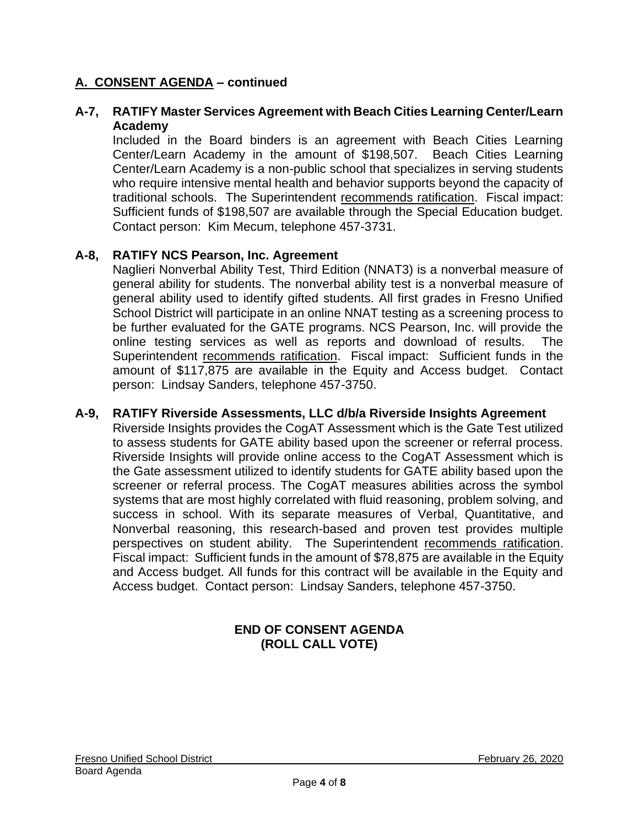### **A. CONSENT AGENDA – continued**

#### **A-7, RATIFY Master Services Agreement with Beach Cities Learning Center/Learn Academy**

Included in the Board binders is an agreement with Beach Cities Learning Center/Learn Academy in the amount of \$198,507. Beach Cities Learning Center/Learn Academy is a non-public school that specializes in serving students who require intensive mental health and behavior supports beyond the capacity of traditional schools. The Superintendent recommends ratification. Fiscal impact: Sufficient funds of \$198,507 are available through the Special Education budget. Contact person: Kim Mecum, telephone 457-3731.

#### **A-8, RATIFY NCS Pearson, Inc. Agreement**

Naglieri Nonverbal Ability Test, Third Edition (NNAT3) is a nonverbal measure of general ability for students. The nonverbal ability test is a nonverbal measure of general ability used to identify gifted students. All first grades in Fresno Unified School District will participate in an online NNAT testing as a screening process to be further evaluated for the GATE programs. NCS Pearson, Inc. will provide the online testing services as well as reports and download of results. The Superintendent recommends ratification. Fiscal impact: Sufficient funds in the amount of \$117,875 are available in the Equity and Access budget. Contact person: Lindsay Sanders, telephone 457-3750.

#### **A-9, RATIFY Riverside Assessments, LLC d/b/a Riverside Insights Agreement**

Riverside Insights provides the CogAT Assessment which is the Gate Test utilized to assess students for GATE ability based upon the screener or referral process. Riverside Insights will provide online access to the CogAT Assessment which is the Gate assessment utilized to identify students for GATE ability based upon the screener or referral process. The CogAT measures abilities across the symbol systems that are most highly correlated with fluid reasoning, problem solving, and success in school. With its separate measures of Verbal, Quantitative, and Nonverbal reasoning, this research-based and proven test provides multiple perspectives on student ability. The Superintendent recommends ratification. Fiscal impact: Sufficient funds in the amount of \$78,875 are available in the Equity and Access budget. All funds for this contract will be available in the Equity and Access budget. Contact person: Lindsay Sanders, telephone 457-3750.

### **END OF CONSENT AGENDA (ROLL CALL VOTE)**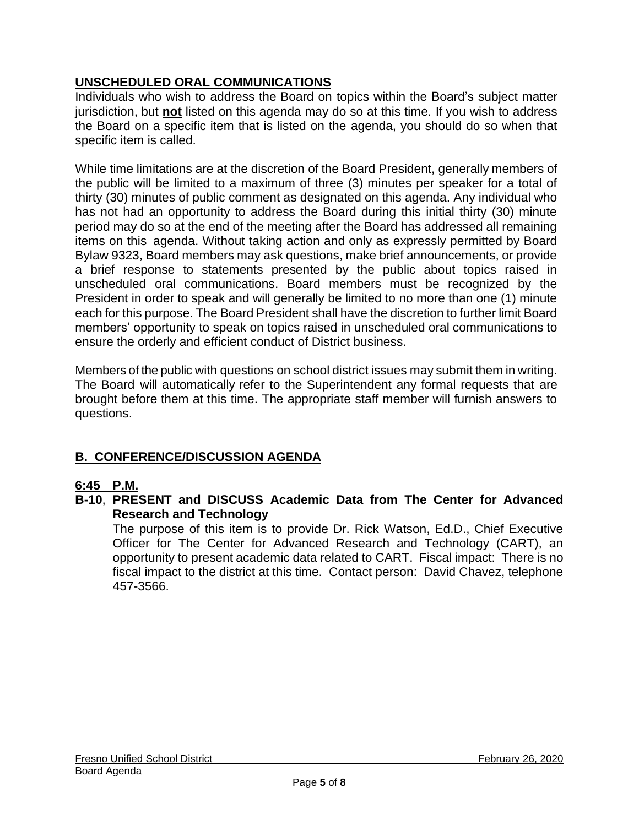## **UNSCHEDULED ORAL COMMUNICATIONS**

Individuals who wish to address the Board on topics within the Board's subject matter jurisdiction, but **not** listed on this agenda may do so at this time. If you wish to address the Board on a specific item that is listed on the agenda, you should do so when that specific item is called.

While time limitations are at the discretion of the Board President, generally members of the public will be limited to a maximum of three (3) minutes per speaker for a total of thirty (30) minutes of public comment as designated on this agenda. Any individual who has not had an opportunity to address the Board during this initial thirty (30) minute period may do so at the end of the meeting after the Board has addressed all remaining items on this agenda. Without taking action and only as expressly permitted by Board Bylaw 9323, Board members may ask questions, make brief announcements, or provide a brief response to statements presented by the public about topics raised in unscheduled oral communications. Board members must be recognized by the President in order to speak and will generally be limited to no more than one (1) minute each for this purpose. The Board President shall have the discretion to further limit Board members' opportunity to speak on topics raised in unscheduled oral communications to ensure the orderly and efficient conduct of District business.

Members of the public with questions on school district issues may submit them in writing. The Board will automatically refer to the Superintendent any formal requests that are brought before them at this time. The appropriate staff member will furnish answers to questions.

## **B. CONFERENCE/DISCUSSION AGENDA**

### **6:45 P.M.**

**B-10**, **PRESENT and DISCUSS Academic Data from The Center for Advanced Research and Technology**

The purpose of this item is to provide Dr. Rick Watson, Ed.D., Chief Executive Officer for The Center for Advanced Research and Technology (CART), an opportunity to present academic data related to CART. Fiscal impact: There is no fiscal impact to the district at this time. Contact person: David Chavez, telephone 457-3566.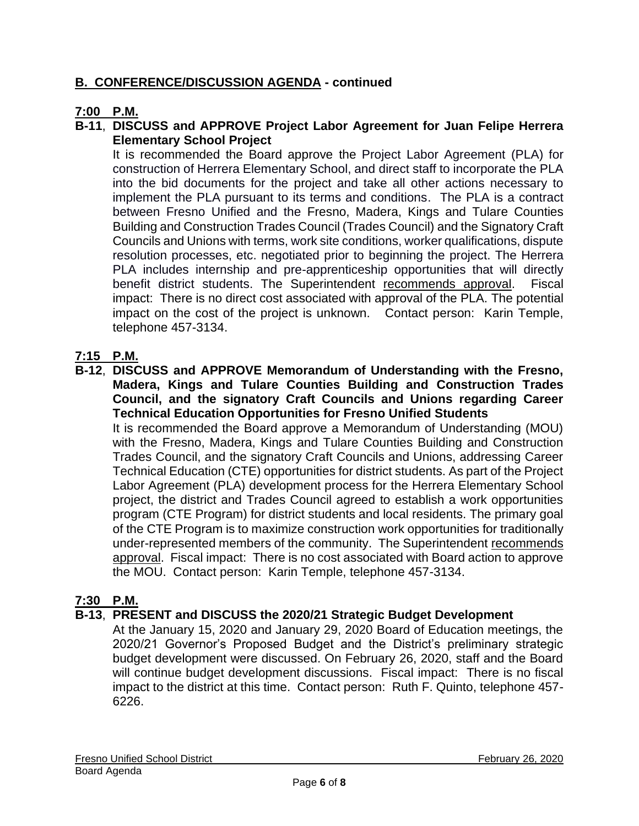## **B. CONFERENCE/DISCUSSION AGENDA - continued**

## **7:00 P.M.**

## **B-11**, **DISCUSS and APPROVE Project Labor Agreement for Juan Felipe Herrera Elementary School Project**

It is recommended the Board approve the Project Labor Agreement (PLA) for construction of Herrera Elementary School, and direct staff to incorporate the PLA into the bid documents for the project and take all other actions necessary to implement the PLA pursuant to its terms and conditions. The PLA is a contract between Fresno Unified and the Fresno, Madera, Kings and Tulare Counties Building and Construction Trades Council (Trades Council) and the Signatory Craft Councils and Unions with terms, work site conditions, worker qualifications, dispute resolution processes, etc. negotiated prior to beginning the project. The Herrera PLA includes internship and pre-apprenticeship opportunities that will directly benefit district students. The Superintendent recommends approval. Fiscal impact: There is no direct cost associated with approval of the PLA. The potential impact on the cost of the project is unknown. Contact person: Karin Temple, telephone 457-3134.

## **7:15 P.M.**

**B-12**, **DISCUSS and APPROVE Memorandum of Understanding with the Fresno, Madera, Kings and Tulare Counties Building and Construction Trades Council, and the signatory Craft Councils and Unions regarding Career Technical Education Opportunities for Fresno Unified Students**

It is recommended the Board approve a Memorandum of Understanding (MOU) with the Fresno, Madera, Kings and Tulare Counties Building and Construction Trades Council, and the signatory Craft Councils and Unions, addressing Career Technical Education (CTE) opportunities for district students. As part of the Project Labor Agreement (PLA) development process for the Herrera Elementary School project, the district and Trades Council agreed to establish a work opportunities program (CTE Program) for district students and local residents. The primary goal of the CTE Program is to maximize construction work opportunities for traditionally under-represented members of the community. The Superintendent recommends approval. Fiscal impact: There is no cost associated with Board action to approve the MOU. Contact person: Karin Temple, telephone 457-3134.

## **7:30 P.M.**

### **B-13**, **PRESENT and DISCUSS the 2020/21 Strategic Budget Development**

At the January 15, 2020 and January 29, 2020 Board of Education meetings, the 2020/21 Governor's Proposed Budget and the District's preliminary strategic budget development were discussed. On February 26, 2020, staff and the Board will continue budget development discussions. Fiscal impact: There is no fiscal impact to the district at this time. Contact person: Ruth F. Quinto, telephone 457- 6226.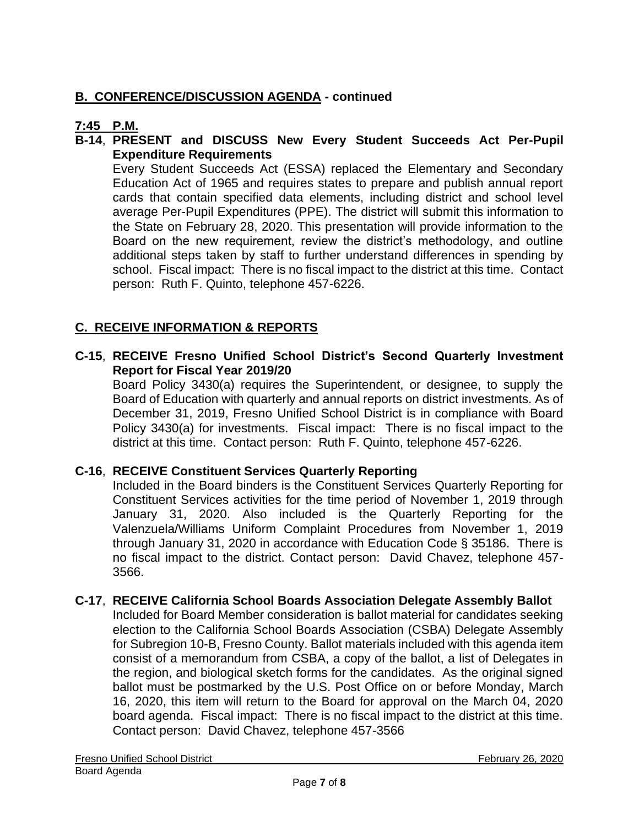## **B. CONFERENCE/DISCUSSION AGENDA - continued**

## **7:45 P.M.**

### **B-14**, **PRESENT and DISCUSS New Every Student Succeeds Act Per-Pupil Expenditure Requirements**

Every Student Succeeds Act (ESSA) replaced the Elementary and Secondary Education Act of 1965 and requires states to prepare and publish annual report cards that contain specified data elements, including district and school level average Per-Pupil Expenditures (PPE). The district will submit this information to the State on February 28, 2020. This presentation will provide information to the Board on the new requirement, review the district's methodology, and outline additional steps taken by staff to further understand differences in spending by school. Fiscal impact: There is no fiscal impact to the district at this time. Contact person: Ruth F. Quinto, telephone 457-6226.

## **C. RECEIVE INFORMATION & REPORTS**

### **C-15**, **RECEIVE Fresno Unified School District's Second Quarterly Investment Report for Fiscal Year 2019/20**

Board Policy 3430(a) requires the Superintendent, or designee, to supply the Board of Education with quarterly and annual reports on district investments. As of December 31, 2019, Fresno Unified School District is in compliance with Board Policy 3430(a) for investments. Fiscal impact: There is no fiscal impact to the district at this time. Contact person: Ruth F. Quinto, telephone 457-6226.

### **C-16**, **RECEIVE Constituent Services Quarterly Reporting**

Included in the Board binders is the Constituent Services Quarterly Reporting for Constituent Services activities for the time period of November 1, 2019 through January 31, 2020. Also included is the Quarterly Reporting for the Valenzuela/Williams Uniform Complaint Procedures from November 1, 2019 through January 31, 2020 in accordance with Education Code § 35186. There is no fiscal impact to the district. Contact person: David Chavez, telephone 457- 3566.

#### **C-17**, **RECEIVE California School Boards Association Delegate Assembly Ballot**

Included for Board Member consideration is ballot material for candidates seeking election to the California School Boards Association (CSBA) Delegate Assembly for Subregion 10-B, Fresno County. Ballot materials included with this agenda item consist of a memorandum from CSBA, a copy of the ballot, a list of Delegates in the region, and biological sketch forms for the candidates. As the original signed ballot must be postmarked by the U.S. Post Office on or before Monday, March 16, 2020, this item will return to the Board for approval on the March 04, 2020 board agenda. Fiscal impact: There is no fiscal impact to the district at this time. Contact person: David Chavez, telephone 457-3566